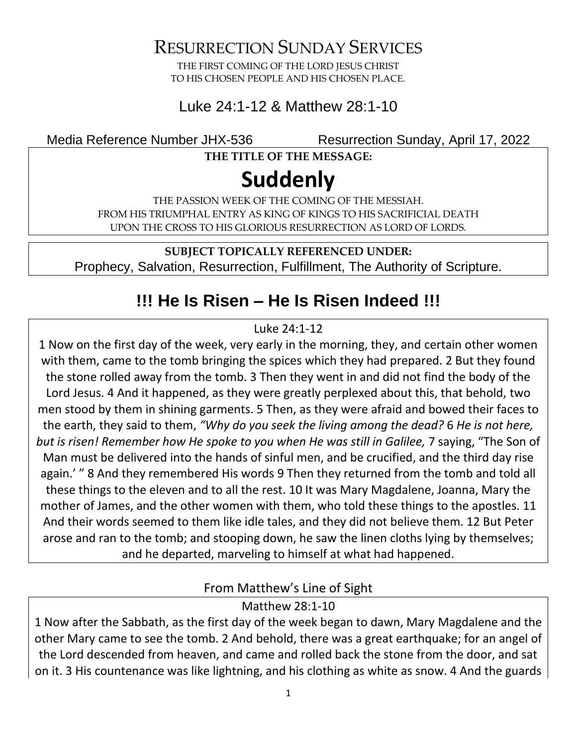RESURRECTION SUNDAY SERVICES

THE FIRST COMING OF THE LORD JESUS CHRIST TO HIS CHOSEN PEOPLE AND HIS CHOSEN PLACE.

### Luke 24:1-12 & Matthew 28:1-10

Media Reference Number JHX-536 Resurrection Sunday, April 17, 2022

**THE TITLE OF THE MESSAGE:**

# **Suddenly**

THE PASSION WEEK OF THE COMING OF THE MESSIAH. FROM HIS TRIUMPHAL ENTRY AS KING OF KINGS TO HIS SACRIFICIAL DEATH UPON THE CROSS TO HIS GLORIOUS RESURRECTION AS LORD OF LORDS.

**SUBJECT TOPICALLY REFERENCED UNDER:** Prophecy, Salvation, Resurrection, Fulfillment, The Authority of Scripture.

## **!!! He Is Risen – He Is Risen Indeed !!!**

#### Luke 24:1-12

1 Now on the first day of the week, very early in the morning, they, and certain other women with them, came to the tomb bringing the spices which they had prepared. 2 But they found the stone rolled away from the tomb. 3 Then they went in and did not find the body of the Lord Jesus. 4 And it happened, as they were greatly perplexed about this, that behold, two men stood by them in shining garments. 5 Then, as they were afraid and bowed their faces to the earth, they said to them, *"Why do you seek the living among the dead?* 6 *He is not here, but is risen! Remember how He spoke to you when He was still in Galilee,* 7 saying, "The Son of Man must be delivered into the hands of sinful men, and be crucified, and the third day rise again.' " 8 And they remembered His words 9 Then they returned from the tomb and told all these things to the eleven and to all the rest. 10 It was Mary Magdalene, Joanna, Mary the mother of James, and the other women with them, who told these things to the apostles. 11 And their words seemed to them like idle tales, and they did not believe them. 12 But Peter arose and ran to the tomb; and stooping down, he saw the linen cloths lying by themselves; and he departed, marveling to himself at what had happened.

From Matthew's Line of Sight

Matthew 28:1-10

1 Now after the Sabbath, as the first day of the week began to dawn, Mary Magdalene and the other Mary came to see the tomb. 2 And behold, there was a great earthquake; for an angel of the Lord descended from heaven, and came and rolled back the stone from the door, and sat on it. 3 His countenance was like lightning, and his clothing as white as snow. 4 And the guards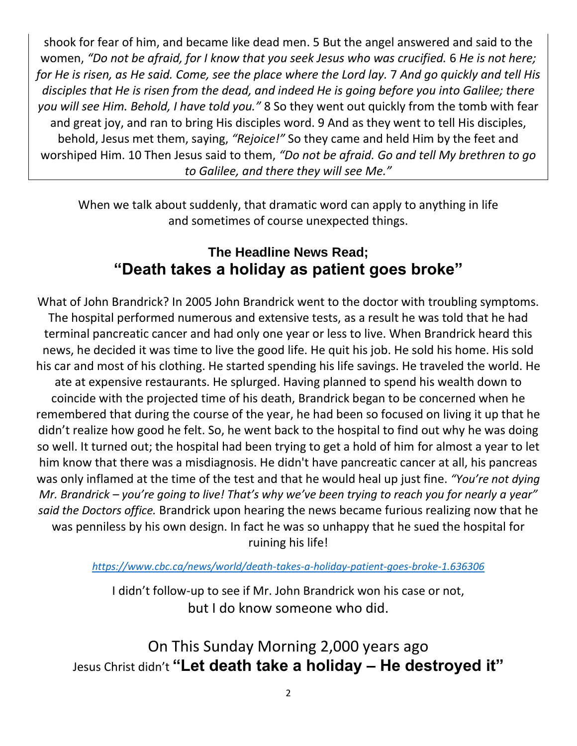shook for fear of him, and became like dead men. 5 But the angel answered and said to the women, *"Do not be afraid, for I know that you seek Jesus who was crucified.* 6 *He is not here; for He is risen, as He said. Come, see the place where the Lord lay.* 7 *And go quickly and tell His disciples that He is risen from the dead, and indeed He is going before you into Galilee; there you will see Him. Behold, I have told you."* 8 So they went out quickly from the tomb with fear and great joy, and ran to bring His disciples word. 9 And as they went to tell His disciples, behold, Jesus met them, saying, *"Rejoice!"* So they came and held Him by the feet and worshiped Him. 10 Then Jesus said to them, *"Do not be afraid. Go and tell My brethren to go to Galilee, and there they will see Me."*

When we talk about suddenly, that dramatic word can apply to anything in life and sometimes of course unexpected things.

### **The Headline News Read; "Death takes a holiday as patient goes broke"**

What of John Brandrick? In 2005 John Brandrick went to the doctor with troubling symptoms. The hospital performed numerous and extensive tests, as a result he was told that he had terminal pancreatic cancer and had only one year or less to live. When Brandrick heard this news, he decided it was time to live the good life. He quit his job. He sold his home. His sold his car and most of his clothing. He started spending his life savings. He traveled the world. He ate at expensive restaurants. He splurged. Having planned to spend his wealth down to coincide with the projected time of his death, Brandrick began to be concerned when he remembered that during the course of the year, he had been so focused on living it up that he didn't realize how good he felt. So, he went back to the hospital to find out why he was doing so well. It turned out; the hospital had been trying to get a hold of him for almost a year to let him know that there was a misdiagnosis. He didn't have pancreatic cancer at all, his pancreas was only inflamed at the time of the test and that he would heal up just fine. *"You're not dying Mr. Brandrick – you're going to live! That's why we've been trying to reach you for nearly a year" said the Doctors office.* Brandrick upon hearing the news became furious realizing now that he was penniless by his own design. In fact he was so unhappy that he sued the hospital for ruining his life!

*<https://www.cbc.ca/news/world/death-takes-a-holiday-patient-goes-broke-1.636306>*

I didn't follow-up to see if Mr. John Brandrick won his case or not, but I do know someone who did.

On This Sunday Morning 2,000 years ago Jesus Christ didn't **"Let death take a holiday – He destroyed it"**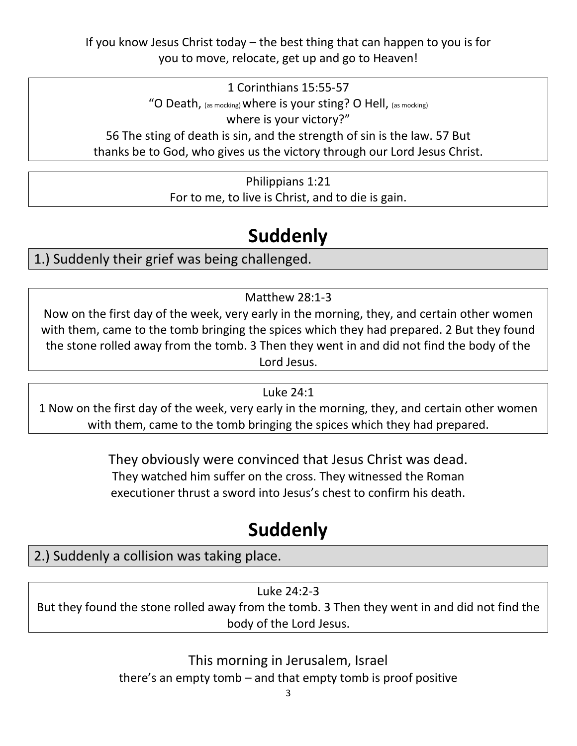If you know Jesus Christ today – the best thing that can happen to you is for you to move, relocate, get up and go to Heaven!

1 Corinthians 15:55-57 "O Death, (as mocking) where is your sting? O Hell, (as mocking) where is your victory?" 56 The sting of death is sin, and the strength of sin is the law. 57 But thanks be to God, who gives us the victory through our Lord Jesus Christ.

> Philippians 1:21 For to me, to live is Christ, and to die is gain.

## **Suddenly**

1.) Suddenly their grief was being challenged.

Matthew 28:1-3

Now on the first day of the week, very early in the morning, they, and certain other women with them, came to the tomb bringing the spices which they had prepared. 2 But they found the stone rolled away from the tomb. 3 Then they went in and did not find the body of the Lord Jesus.

#### Luke 24:1

1 Now on the first day of the week, very early in the morning, they, and certain other women with them, came to the tomb bringing the spices which they had prepared.

> They obviously were convinced that Jesus Christ was dead. They watched him suffer on the cross. They witnessed the Roman executioner thrust a sword into Jesus's chest to confirm his death.

# **Suddenly**

### 2.) Suddenly a collision was taking place.

Luke 24:2-3 But they found the stone rolled away from the tomb. 3 Then they went in and did not find the body of the Lord Jesus.

> This morning in Jerusalem, Israel there's an empty tomb – and that empty tomb is proof positive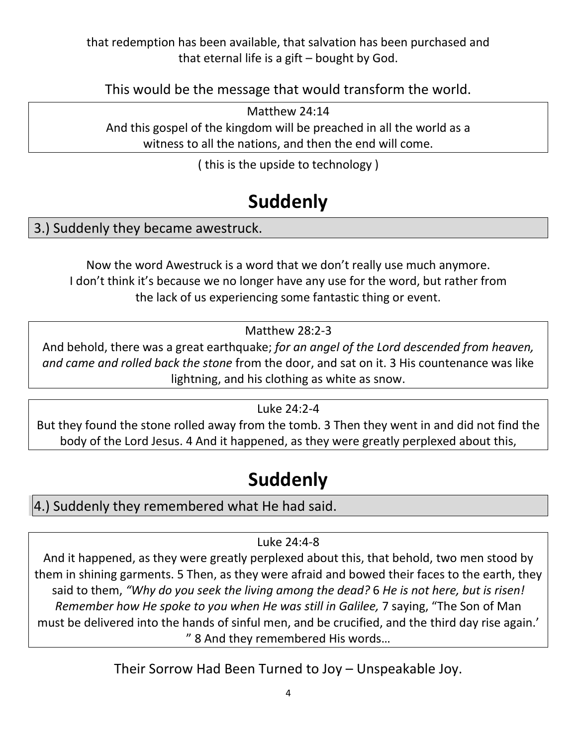that redemption has been available, that salvation has been purchased and that eternal life is a gift – bought by God.

This would be the message that would transform the world.

Matthew 24:14 And this gospel of the kingdom will be preached in all the world as a witness to all the nations, and then the end will come.

( this is the upside to technology )

## **Suddenly**

3.) Suddenly they became awestruck.

Now the word Awestruck is a word that we don't really use much anymore. I don't think it's because we no longer have any use for the word, but rather from the lack of us experiencing some fantastic thing or event.

Matthew 28:2-3

And behold, there was a great earthquake; *for an angel of the Lord descended from heaven, and came and rolled back the stone* from the door, and sat on it. 3 His countenance was like lightning, and his clothing as white as snow.

Luke 24:2-4

But they found the stone rolled away from the tomb. 3 Then they went in and did not find the body of the Lord Jesus. 4 And it happened, as they were greatly perplexed about this,

## **Suddenly**

4.) Suddenly they remembered what He had said.

#### Luke 24:4-8

And it happened, as they were greatly perplexed about this, that behold, two men stood by them in shining garments. 5 Then, as they were afraid and bowed their faces to the earth, they said to them, *"Why do you seek the living among the dead?* 6 *He is not here, but is risen! Remember how He spoke to you when He was still in Galilee,* 7 saying, "The Son of Man must be delivered into the hands of sinful men, and be crucified, and the third day rise again.' " 8 And they remembered His words…

Their Sorrow Had Been Turned to Joy – Unspeakable Joy.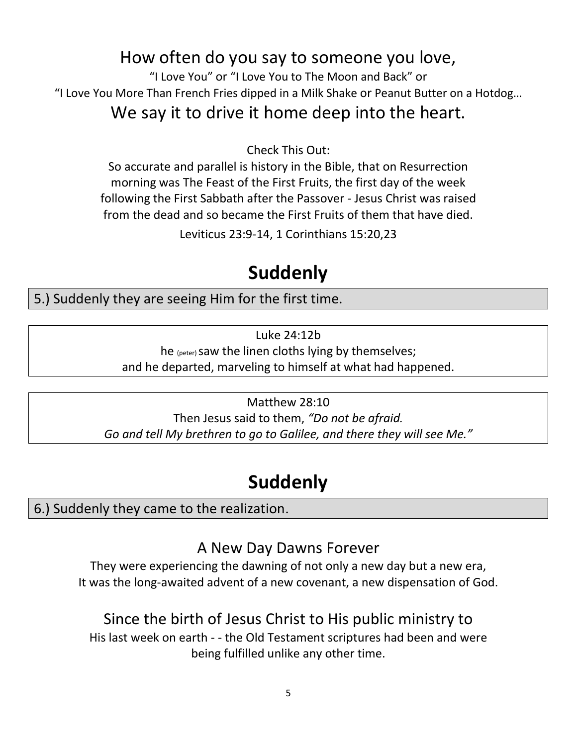### How often do you say to someone you love,

"I Love You" or "I Love You to The Moon and Back" or "I Love You More Than French Fries dipped in a Milk Shake or Peanut Butter on a Hotdog…

### We say it to drive it home deep into the heart.

Check This Out:

So accurate and parallel is history in the Bible, that on Resurrection morning was The Feast of the First Fruits, the first day of the week following the First Sabbath after the Passover - Jesus Christ was raised from the dead and so became the First Fruits of them that have died.

Leviticus 23:9-14, 1 Corinthians 15:20,23

## **Suddenly**

5.) Suddenly they are seeing Him for the first time.

Luke 24:12b

he (peter) saw the linen cloths lying by themselves;

and he departed, marveling to himself at what had happened.

Matthew 28:10 Then Jesus said to them, *"Do not be afraid. Go and tell My brethren to go to Galilee, and there they will see Me."*

# **Suddenly**

6.) Suddenly they came to the realization.

### A New Day Dawns Forever

They were experiencing the dawning of not only a new day but a new era, It was the long-awaited advent of a new covenant, a new dispensation of God.

### Since the birth of Jesus Christ to His public ministry to

His last week on earth - - the Old Testament scriptures had been and were being fulfilled unlike any other time.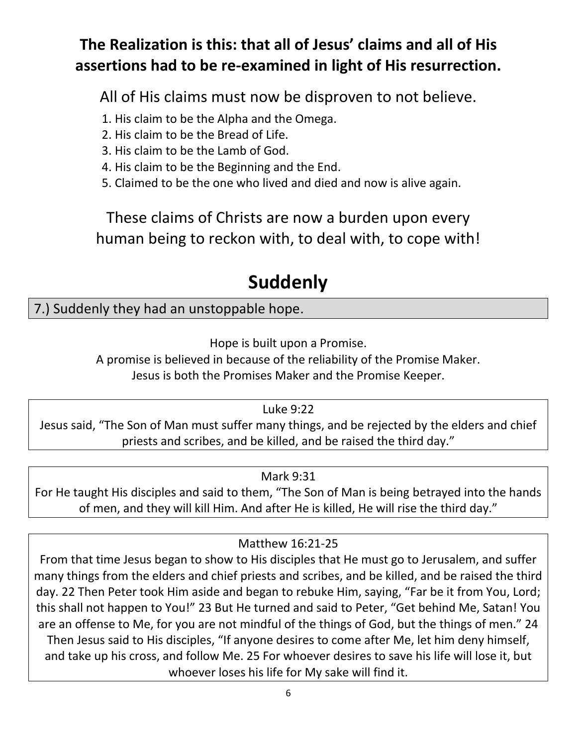### **The Realization is this: that all of Jesus' claims and all of His assertions had to be re-examined in light of His resurrection.**

All of His claims must now be disproven to not believe.

1. His claim to be the Alpha and the Omega.

- 2. His claim to be the Bread of Life.
- 3. His claim to be the Lamb of God.
- 4. His claim to be the Beginning and the End.
- 5. Claimed to be the one who lived and died and now is alive again.

These claims of Christs are now a burden upon every human being to reckon with, to deal with, to cope with!

## **Suddenly**

### 7.) Suddenly they had an unstoppable hope.

Hope is built upon a Promise.

A promise is believed in because of the reliability of the Promise Maker. Jesus is both the Promises Maker and the Promise Keeper.

Luke 9:22

Jesus said, "The Son of Man must suffer many things, and be rejected by the elders and chief priests and scribes, and be killed, and be raised the third day."

#### Mark 9:31

For He taught His disciples and said to them, "The Son of Man is being betrayed into the hands of men, and they will kill Him. And after He is killed, He will rise the third day."

#### Matthew 16:21-25

From that time Jesus began to show to His disciples that He must go to Jerusalem, and suffer many things from the elders and chief priests and scribes, and be killed, and be raised the third day. 22 Then Peter took Him aside and began to rebuke Him, saying, "Far be it from You, Lord; this shall not happen to You!" 23 But He turned and said to Peter, "Get behind Me, Satan! You are an offense to Me, for you are not mindful of the things of God, but the things of men." 24 Then Jesus said to His disciples, "If anyone desires to come after Me, let him deny himself, and take up his cross, and follow Me. 25 For whoever desires to save his life will lose it, but whoever loses his life for My sake will find it.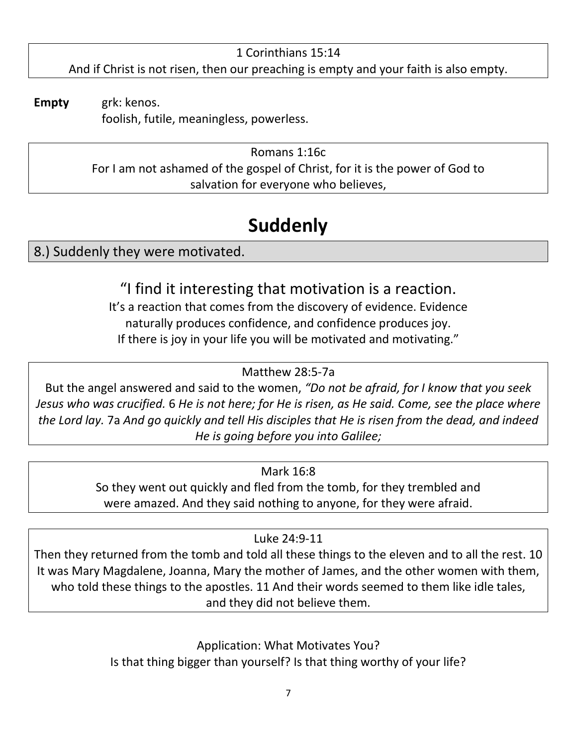1 Corinthians 15:14 And if Christ is not risen, then our preaching is empty and your faith is also empty.

**Empty** grk: kenos. foolish, futile, meaningless, powerless.

> Romans 1:16c For I am not ashamed of the gospel of Christ, for it is the power of God to salvation for everyone who believes,

# **Suddenly**

8.) Suddenly they were motivated.

"I find it interesting that motivation is a reaction. It's a reaction that comes from the discovery of evidence. Evidence naturally produces confidence, and confidence produces joy.

If there is joy in your life you will be motivated and motivating."

### Matthew 28:5-7a

But the angel answered and said to the women, *"Do not be afraid, for I know that you seek Jesus who was crucified.* 6 *He is not here; for He is risen, as He said. Come, see the place where the Lord lay.* 7a *And go quickly and tell His disciples that He is risen from the dead, and indeed He is going before you into Galilee;*

### Mark 16:8

So they went out quickly and fled from the tomb, for they trembled and were amazed. And they said nothing to anyone, for they were afraid.

### Luke 24:9-11

Then they returned from the tomb and told all these things to the eleven and to all the rest. 10 It was Mary Magdalene, Joanna, Mary the mother of James, and the other women with them, who told these things to the apostles. 11 And their words seemed to them like idle tales, and they did not believe them.

> Application: What Motivates You? Is that thing bigger than yourself? Is that thing worthy of your life?